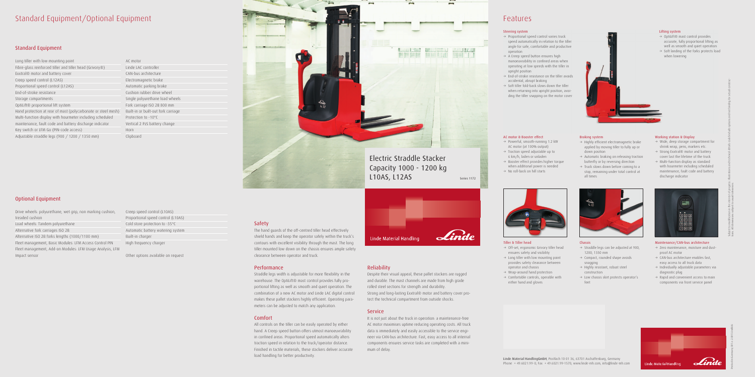# Standard Equipment/Optional Equipment

# Standard Equipment

# Optional Equipment

Drive wheels: polyurethane, wet grip, non marking cushion, treaded cushion Load wheels: Tandem polyurethane Alternative fork carriages ISO 2B Alternative ISO 2B forks lengths (1000/1100 mm)

Fleet management, Basic Modules: LFM Access Control PIN Fleet management, Add-on Modules: LFM Usage Analysis, LFM Impact sensor

AC motor Linde LAC controller CAN-bus architecture Electromagnetic brake Automatic parking brake Cushion rubber drive wheel Single polyurethane load wheels Fork carriage ISO 2B 800 mm Built-in or built-out fork carriage Protection to -10°C Vertical 2 PzS battery change Horn Clipboard

Creep speed control (L10AS) Proportional speed control (L10AS) Cold store protection to -35°C Automatic battery watering system Built-in charger High frequency charger

Other options available on request

# Safety

The hand guards of the off-centred tiller head effectively shield hands and keep the operator safely within the truck's contours with excellent visibility through the mast. The long tiller mounted low down on the chassis ensures ample safety clearance between operator and truck.

### Performance

- $\rightarrow$  Off-set, ergonomic Grivory tiller head ensures safety and visibility
- $\rightarrow$  Long tiller with low mounting point provides safety clearance between operator and chassis
- $\rightarrow$  Wrap-around hand protection
- $\rightarrow$  Comfortable controls, operable with either hand and gloves



Straddle legs width is adjustable for more flexibility in the warehouse. The OptiLift® mast control provides fully proportional lifting as well as smooth and quiet operation. The combination of a new AC motor and Linde LAC digital control makes these pallet stackers highly efficient. Operating parameters can be adjusted to match any application.

- $\rightarrow$  Straddle legs can be adjusted at 900, 1200, 1350 mm
- $\rightarrow$  Compact, rounded shape avoids snagging
- $\rightarrow$  Highly resistant, robust steel construction
- $\rightarrow$  Low chassis skirt protects operator's feet

### Comfort

- $\rightarrow$  Wide, deep storage compartment for shrink wrap, pens, markers etc.
- $\rightarrow$  Strong Exxtral® motor and battery cover last the lifetime of the truck
- $\rightarrow$  Multi-function display as standard with hourmeter including scheduled maintenance, fault code and battery discharge indicator



All controls on the tiller can be easily operated by either hand. A Creep speed button offers utmost manoeuvrability in confined areas. Proportional speed automatically alters traction speed in relation to the truck/operator distance. Finished in tactile materials, these stackers deliver accurate load handling for better productivity.



- $\rightarrow$  Zero maintenance, moisture and dustproof AC motor
- $\rightarrow$  CAN-bus architecture enables fast, easy access to all truck data
- $\rightarrow$  Individually adjustable parameters via diagnostic plug
- $\rightarrow$  Rapid and convenient access to main components via front service panel



# Reliability

# **Service**

- $\rightarrow$  OptiLift® mast control provides accurate, fully proportional lifting as well as smooth and quiet operation
- $\rightarrow$  Soft landing of the forks protects load when lowering

Despite their visual appeal, these pallet stackers are rugged and durable. The mast channels are made from high grade rolled steel sections for strength and durability.

 $\rightarrow$  Highly efficient electromagnetic brake applied by moving tiller to fully up or

 $\rightarrow$  Automatic braking on releasing traction butterfly or by reversing direction  $\rightarrow$  Truck slows down before coming to a stop, remaining under total control at

Strong and long-lasting Exxtral® motor and battery cover protect the technical compartment from outside shocks.

- $\rightarrow$  Proportional speed control varies truck speed automatically in relation to the tiller angle for safe, comfortable and productive operation
- $\rightarrow$  A Creep speed button ensures high manoeuvrability in confined areas when operating at low speeds with the tiller in upright position
- $\rightarrow$  End-of-stroke resistance on the tiller avoids accidental, abrupt braking
- $\rightarrow$  Soft tiller fold-back slows down the tiller when returning into upright position, avoiding the tiller snapping on the motor cover



It is not just about the truck in operation: a maintenance-free AC motor maximises uptime reducing operating costs. All truck data is immediately and easily accessible to the service engineer via CAN-bus architecture. Fast, easy access to all internal components ensures service tasks are completed with a minimum of delay.

# Features





### Tiller & Tiller head

# AC motor & Booster effect

- $\rightarrow$  Powerful, smooth-running 1.2 kW AC motor (at 100% output)
- $\rightarrow$  Traction speed adjustable up to 6 km/h, laden or unladen
- $\rightarrow$  Booster effect provides higher torque when additional power is needed
- $\rightarrow$  No roll-back on hill starts



### Chassis

### Working station & Display

#### Maintenance/CAN-bus architecture

Printed in Germany 091.e.2.0913.IndB.Ki

### Lifting system

Braking system

down position

all times

### Steering system